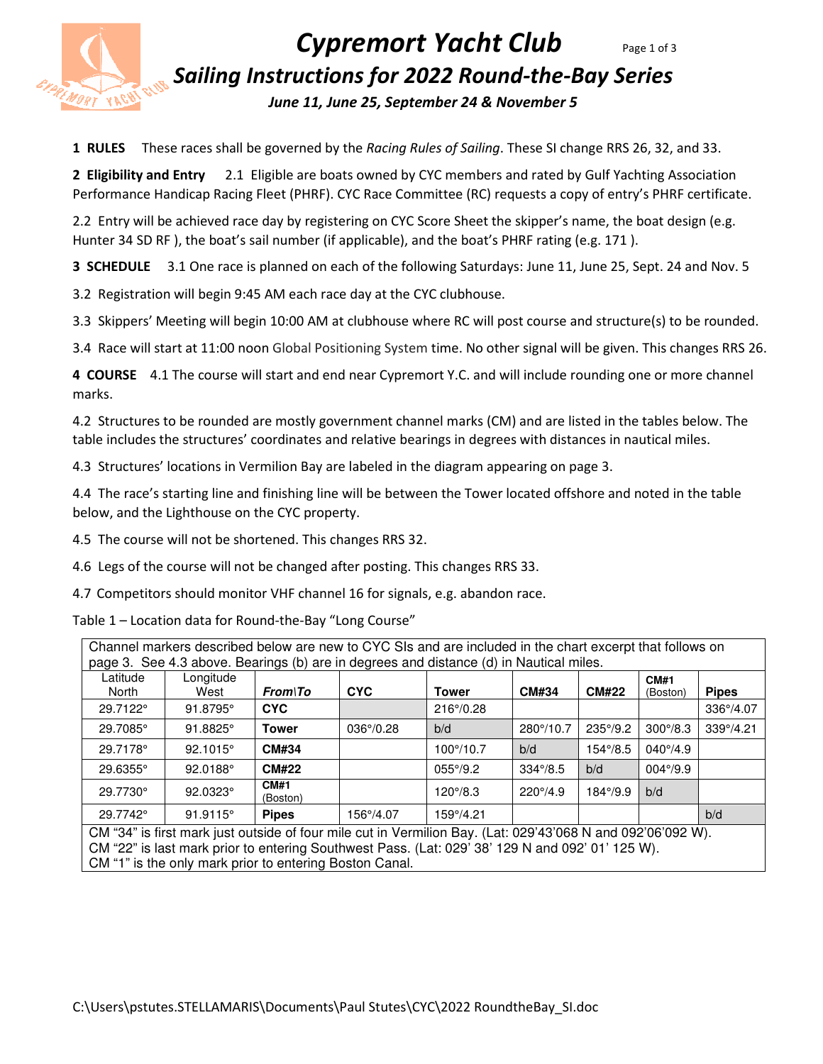

# *Cypremort Yacht Club* Page 1 of 3 *Sailing Instructions for 2022 Round-the-Bay Series*

*June 11, June 25, September 24 & November 5*

**1 RULES** These races shall be governed by the *Racing Rules of Sailing*. These SI change RRS 26, 32, and 33.

**2 Eligibility and Entry** 2.1 Eligible are boats owned by CYC members and rated by Gulf Yachting Association Performance Handicap Racing Fleet (PHRF). CYC Race Committee (RC) requests a copy of entry's PHRF certificate.

2.2 Entry will be achieved race day by registering on CYC Score Sheet the skipper's name, the boat design (e.g. Hunter 34 SD RF ), the boat's sail number (if applicable), and the boat's PHRF rating (e.g. 171 ).

**3 SCHEDULE** 3.1 One race is planned on each of the following Saturdays: June 11, June 25, Sept. 24 and Nov. 5

3.2 Registration will begin 9:45 AM each race day at the CYC clubhouse.

3.3 Skippers' Meeting will begin 10:00 AM at clubhouse where RC will post course and structure(s) to be rounded.

3.4 Race will start at 11:00 noon Global Positioning System time. No other signal will be given. This changes RRS 26.

**4 COURSE** 4.1 The course will start and end near Cypremort Y.C. and will include rounding one or more channel marks.

4.2 Structures to be rounded are mostly government channel marks (CM) and are listed in the tables below. The table includes the structures' coordinates and relative bearings in degrees with distances in nautical miles.

4.3 Structures' locations in Vermilion Bay are labeled in the diagram appearing on page 3.

4.4 The race's starting line and finishing line will be between the Tower located offshore and noted in the table below, and the Lighthouse on the CYC property.

4.5 The course will not be shortened. This changes RRS 32.

4.6 Legs of the course will not be changed after posting. This changes RRS 33.

4.7 Competitors should monitor VHF channel 16 for signals, e.g. abandon race.

Table 1 – Location data for Round-the-Bay "Long Course"

| Channel markers described below are new to CYC SIs and are included in the chart excerpt that follows on<br>page 3. See 4.3 above. Bearings (b) are in degrees and distance (d) in Nautical miles. |                   |                  |                    |                   |                          |                   |                         |              |  |  |
|----------------------------------------------------------------------------------------------------------------------------------------------------------------------------------------------------|-------------------|------------------|--------------------|-------------------|--------------------------|-------------------|-------------------------|--------------|--|--|
| Latitude<br>North                                                                                                                                                                                  | Longitude<br>West | <b>From\To</b>   | <b>CYC</b>         | <b>Tower</b>      | <b>CM#34</b>             | <b>CM#22</b>      | <b>CM#1</b><br>(Boston) | <b>Pipes</b> |  |  |
| 29.7122°                                                                                                                                                                                           | 91.8795°          | <b>CYC</b>       |                    | 216°/0.28         |                          |                   |                         | 336°/4.07    |  |  |
| 29.7085°                                                                                                                                                                                           | $91.8825^{\circ}$ | <b>Tower</b>     | $036^{\circ}/0.28$ | b/d               | 280°/10.7                | $235^{\circ}/9.2$ | $300^{\circ}/8.3$       | 339°/4.21    |  |  |
| 29.7178°                                                                                                                                                                                           | $92.1015^{\circ}$ | <b>CM#34</b>     |                    | 100°/10.7         | b/d                      | $154^{\circ}/8.5$ | $040^{\circ}/4.9$       |              |  |  |
| 29.6355°                                                                                                                                                                                           | 92.0188°          | <b>CM#22</b>     |                    | $055^{\circ}/9.2$ | $334\frac{\degree}{8.5}$ | b/d               | $004^{\circ}/9.9$       |              |  |  |
| 29.7730°                                                                                                                                                                                           | 92.0323°          | CM#1<br>(Boston) |                    | $120^{\circ}/8.3$ | $220^{\circ}/4.9$        | $184^{\circ}/9.9$ | b/d                     |              |  |  |
| 29.7742°                                                                                                                                                                                           | 91.9115°          | <b>Pipes</b>     | 156°/4.07          | 159°/4.21         |                          |                   |                         | b/d          |  |  |
| CM "34" is first mark just outside of four mile cut in Vermilion Bay. (Lat: 029'43'068 N and 092'06'092 W).                                                                                        |                   |                  |                    |                   |                          |                   |                         |              |  |  |
| CM "22" is last mark prior to entering Southwest Pass. (Lat: 029' 38' 129 N and 092' 01' 125 W).                                                                                                   |                   |                  |                    |                   |                          |                   |                         |              |  |  |
| CM "1" is the only mark prior to entering Boston Canal.                                                                                                                                            |                   |                  |                    |                   |                          |                   |                         |              |  |  |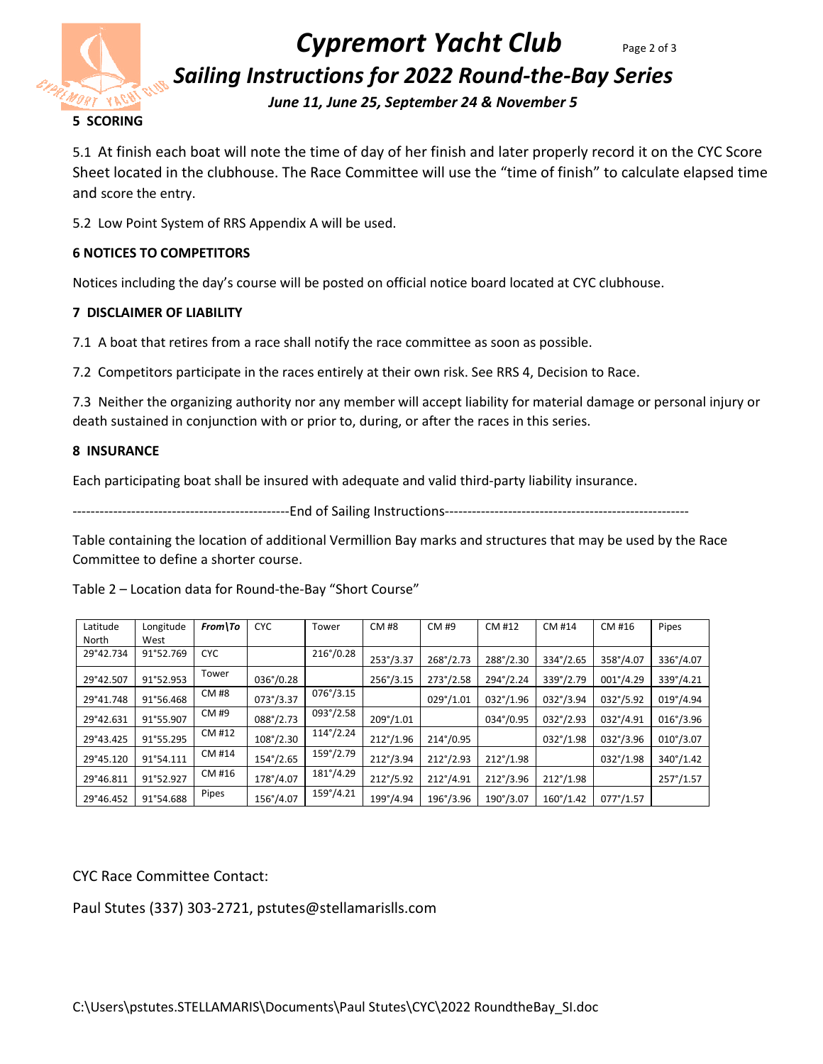

# *Cypremort Yacht Club* Page 2 of 3

*Sailing Instructions for 2022 Round-the-Bay Series* 

*June 11, June 25, September 24 & November 5*

5.1 At finish each boat will note the time of day of her finish and later properly record it on the CYC Score Sheet located in the clubhouse. The Race Committee will use the "time of finish" to calculate elapsed time and score the entry.

5.2 Low Point System of RRS Appendix A will be used.

## **6 NOTICES TO COMPETITORS**

Notices including the day's course will be posted on official notice board located at CYC clubhouse.

### **7 DISCLAIMER OF LIABILITY**

7.1 A boat that retires from a race shall notify the race committee as soon as possible.

7.2 Competitors participate in the races entirely at their own risk. See RRS 4, Decision to Race.

7.3 Neither the organizing authority nor any member will accept liability for material damage or personal injury or death sustained in conjunction with or prior to, during, or after the races in this series.

### **8 INSURANCE**

Each participating boat shall be insured with adequate and valid third-party liability insurance.

------------------------------------------------End of Sailing Instructions------------------------------------------------------

Table containing the location of additional Vermillion Bay marks and structures that may be used by the Race Committee to define a shorter course.

| Latitude  | Longitude | $From \setminus To$ | <b>CYC</b>         | Tower              | <b>CM#8</b>        | CM #9              | CM #12             | CM #14             | CM #16             | Pipes              |
|-----------|-----------|---------------------|--------------------|--------------------|--------------------|--------------------|--------------------|--------------------|--------------------|--------------------|
| North     | West      |                     |                    |                    |                    |                    |                    |                    |                    |                    |
| 29°42.734 | 91°52.769 | <b>CYC</b>          |                    | $216^{\circ}/0.28$ | $253^{\circ}/3.37$ | $268^{\circ}/2.73$ | $288^{\circ}/2.30$ | $334^{\circ}/2.65$ | 358°/4.07          | 336°/4.07          |
| 29°42.507 | 91°52.953 | Tower               | 036°/0.28          |                    | $256^{\circ}/3.15$ | $273^{\circ}/2.58$ | $294^{\circ}/2.24$ | 339°/2.79          | 001°/4.29          | 339°/4.21          |
| 29°41.748 | 91°56.468 | CM #8               | $073^{\circ}/3.37$ | $076^{\circ}/3.15$ |                    | $029^{\circ}/1.01$ | $032^{\circ}/1.96$ | $032^{\circ}/3.94$ | $032^{\circ}/5.92$ | $019^{\circ}/4.94$ |
| 29°42.631 | 91°55.907 | CM #9               | $088^{\circ}/2.73$ | $093^{\circ}/2.58$ | $209^{\circ}/1.01$ |                    | 034°/0.95          | $032^{\circ}/2.93$ | 032°/4.91          | $016^{\circ}/3.96$ |
| 29°43.425 | 91°55.295 | CM #12              | $108^{\circ}/2.30$ | $114^{\circ}/2.24$ | $212^{\circ}/1.96$ | 214°/0.95          |                    | $032^{\circ}/1.98$ | 032°/3.96          | $010^{\circ}/3.07$ |
| 29°45.120 | 91°54.111 | CM #14              | $154^{\circ}/2.65$ | $159^{\circ}/2.79$ | $212^{\circ}/3.94$ | $212^{\circ}/2.93$ | $212^{\circ}/1.98$ |                    | $032^{\circ}/1.98$ | $340^{\circ}/1.42$ |
| 29°46.811 | 91°52.927 | CM #16              | 178°/4.07          | $181^{\circ}/4.29$ | $212^{\circ}/5.92$ | $212^{\circ}/4.91$ | $212^{\circ}/3.96$ | $212^{\circ}/1.98$ |                    | $257^{\circ}/1.57$ |
| 29°46.452 | 91°54.688 | Pipes               | 156°/4.07          | $159^{\circ}/4.21$ | $199^{\circ}/4.94$ | $196^{\circ}/3.96$ | $190^{\circ}/3.07$ | $160^{\circ}/1.42$ | $077^{\circ}/1.57$ |                    |

Table 2 – Location data for Round-the-Bay "Short Course"

CYC Race Committee Contact:

Paul Stutes (337) 303-2721, pstutes@stellamarislls.com